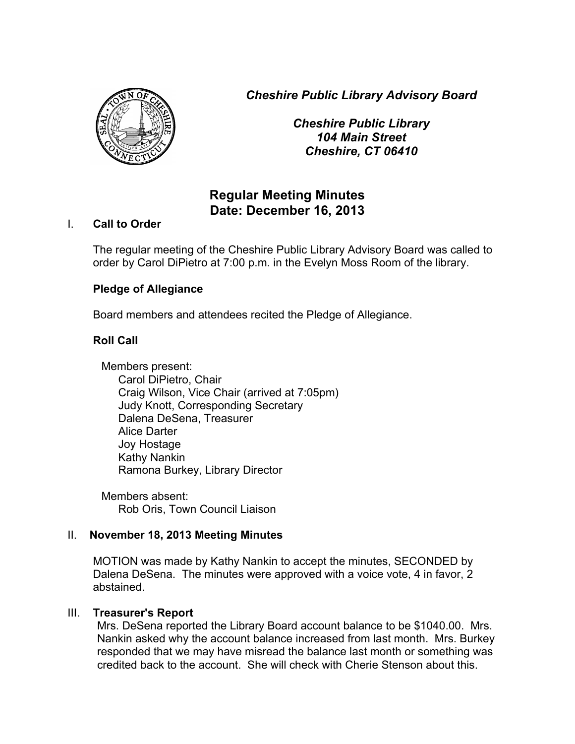*Cheshire Public Library Advisory Board*



*Cheshire Public Library 104 Main Street Cheshire, CT 06410*

# **Regular Meeting Minutes Date: December 16, 2013**

## I. **Call to Order**

The regular meeting of the Cheshire Public Library Advisory Board was called to order by Carol DiPietro at 7:00 p.m. in the Evelyn Moss Room of the library.

# **Pledge of Allegiance**

Board members and attendees recited the Pledge of Allegiance.

# **Roll Call**

Members present: Carol DiPietro, Chair Craig Wilson, Vice Chair (arrived at 7:05pm) Judy Knott, Corresponding Secretary Dalena DeSena, Treasurer Alice Darter Joy Hostage Kathy Nankin Ramona Burkey, Library Director

Members absent: Rob Oris, Town Council Liaison

# II. **November 18, 2013 Meeting Minutes**

MOTION was made by Kathy Nankin to accept the minutes, SECONDED by Dalena DeSena. The minutes were approved with a voice vote, 4 in favor, 2 abstained.

## III. **Treasurer's Report**

Mrs. DeSena reported the Library Board account balance to be \$1040.00. Mrs. Nankin asked why the account balance increased from last month. Mrs. Burkey responded that we may have misread the balance last month or something was credited back to the account. She will check with Cherie Stenson about this.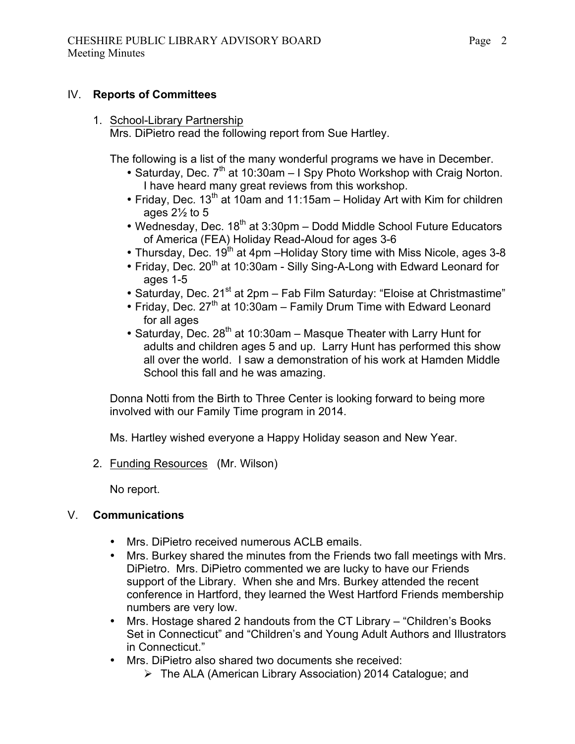#### IV. **Reports of Committees**

# 1. School-Library Partnership

Mrs. DiPietro read the following report from Sue Hartley.

The following is a list of the many wonderful programs we have in December.

- Saturday, Dec.  $7<sup>th</sup>$  at 10:30am I Spy Photo Workshop with Craig Norton. I have heard many great reviews from this workshop.
- Friday, Dec.  $13<sup>th</sup>$  at 10am and 11:15am Holiday Art with Kim for children ages  $2\frac{1}{2}$  to 5
- Wednesday, Dec. 18<sup>th</sup> at 3:30pm Dodd Middle School Future Educators of America (FEA) Holiday Read-Aloud for ages 3-6
- Thursday, Dec.  $19^{th}$  at 4pm Holiday Story time with Miss Nicole, ages 3-8
- Friday, Dec. 20<sup>th</sup> at 10:30am Silly Sing-A-Long with Edward Leonard for ages 1-5
- Saturday, Dec. 21<sup>st</sup> at 2pm Fab Film Saturday: "Eloise at Christmastime"
- Friday, Dec.  $27<sup>th</sup>$  at 10:30am Family Drum Time with Edward Leonard for all ages
- Saturday, Dec.  $28^{th}$  at 10:30am Masque Theater with Larry Hunt for adults and children ages 5 and up. Larry Hunt has performed this show all over the world. I saw a demonstration of his work at Hamden Middle School this fall and he was amazing.

Donna Notti from the Birth to Three Center is looking forward to being more involved with our Family Time program in 2014.

Ms. Hartley wished everyone a Happy Holiday season and New Year.

2. Funding Resources (Mr. Wilson)

No report.

# V. **Communications**

- Mrs. DiPietro received numerous ACLB emails.
- Mrs. Burkey shared the minutes from the Friends two fall meetings with Mrs. DiPietro. Mrs. DiPietro commented we are lucky to have our Friends support of the Library. When she and Mrs. Burkey attended the recent conference in Hartford, they learned the West Hartford Friends membership numbers are very low.
- Mrs. Hostage shared 2 handouts from the CT Library "Children's Books" Set in Connecticut" and "Children's and Young Adult Authors and Illustrators in Connecticut."
- Mrs. DiPietro also shared two documents she received:
	- $\triangleright$  The ALA (American Library Association) 2014 Catalogue; and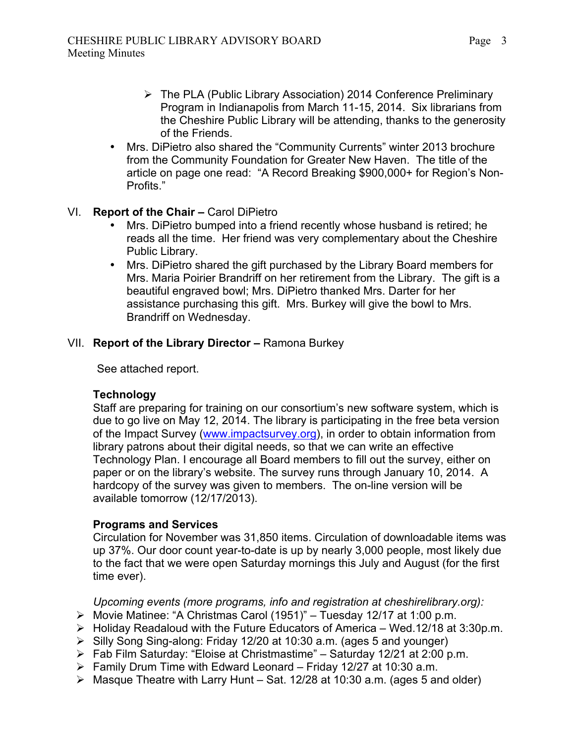- $\triangleright$  The PLA (Public Library Association) 2014 Conference Preliminary Program in Indianapolis from March 11-15, 2014. Six librarians from the Cheshire Public Library will be attending, thanks to the generosity of the Friends.
- Mrs. DiPietro also shared the "Community Currents" winter 2013 brochure from the Community Foundation for Greater New Haven. The title of the article on page one read: "A Record Breaking \$900,000+ for Region's Non-Profits."

## VI. **Report of the Chair –** Carol DiPietro

- Mrs. DiPietro bumped into a friend recently whose husband is retired; he reads all the time. Her friend was very complementary about the Cheshire Public Library.
- Mrs. DiPietro shared the gift purchased by the Library Board members for Mrs. Maria Poirier Brandriff on her retirement from the Library. The gift is a beautiful engraved bowl; Mrs. DiPietro thanked Mrs. Darter for her assistance purchasing this gift. Mrs. Burkey will give the bowl to Mrs. Brandriff on Wednesday.

#### VII. **Report of the Library Director –** Ramona Burkey

See attached report.

## **Technology**

Staff are preparing for training on our consortium's new software system, which is due to go live on May 12, 2014. The library is participating in the free beta version of the Impact Survey (www.impactsurvey.org), in order to obtain information from library patrons about their digital needs, so that we can write an effective Technology Plan. I encourage all Board members to fill out the survey, either on paper or on the library's website. The survey runs through January 10, 2014. A hardcopy of the survey was given to members. The on-line version will be available tomorrow (12/17/2013).

## **Programs and Services**

Circulation for November was 31,850 items. Circulation of downloadable items was up 37%. Our door count year-to-date is up by nearly 3,000 people, most likely due to the fact that we were open Saturday mornings this July and August (for the first time ever).

*Upcoming events (more programs, info and registration at cheshirelibrary.org):*

- Ø Movie Matinee: "A Christmas Carol (1951)" Tuesday 12/17 at 1:00 p.m.
- $\triangleright$  Holiday Readaloud with the Future Educators of America Wed.12/18 at 3:30p.m.
- Ø Silly Song Sing-along: Friday 12/20 at 10:30 a.m. (ages 5 and younger)
- $\triangleright$  Fab Film Saturday: "Eloise at Christmastime" Saturday 12/21 at 2:00 p.m.
- $\triangleright$  Family Drum Time with Edward Leonard Friday 12/27 at 10:30 a.m.
- $\triangleright$  Masque Theatre with Larry Hunt Sat. 12/28 at 10:30 a.m. (ages 5 and older)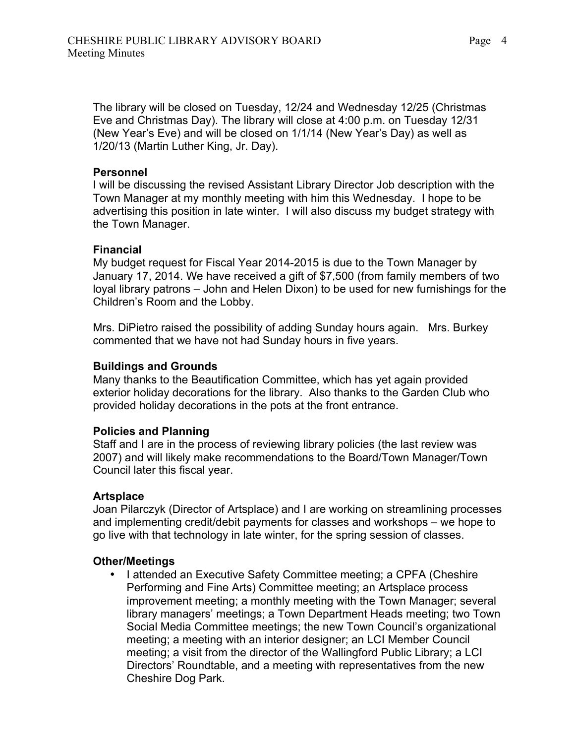The library will be closed on Tuesday, 12/24 and Wednesday 12/25 (Christmas Eve and Christmas Day). The library will close at 4:00 p.m. on Tuesday 12/31 (New Year's Eve) and will be closed on 1/1/14 (New Year's Day) as well as 1/20/13 (Martin Luther King, Jr. Day).

#### **Personnel**

I will be discussing the revised Assistant Library Director Job description with the Town Manager at my monthly meeting with him this Wednesday. I hope to be advertising this position in late winter. I will also discuss my budget strategy with the Town Manager.

#### **Financial**

My budget request for Fiscal Year 2014-2015 is due to the Town Manager by January 17, 2014. We have received a gift of \$7,500 (from family members of two loyal library patrons – John and Helen Dixon) to be used for new furnishings for the Children's Room and the Lobby.

Mrs. DiPietro raised the possibility of adding Sunday hours again. Mrs. Burkey commented that we have not had Sunday hours in five years.

#### **Buildings and Grounds**

Many thanks to the Beautification Committee, which has yet again provided exterior holiday decorations for the library. Also thanks to the Garden Club who provided holiday decorations in the pots at the front entrance.

#### **Policies and Planning**

Staff and I are in the process of reviewing library policies (the last review was 2007) and will likely make recommendations to the Board/Town Manager/Town Council later this fiscal year.

#### **Artsplace**

Joan Pilarczyk (Director of Artsplace) and I are working on streamlining processes and implementing credit/debit payments for classes and workshops – we hope to go live with that technology in late winter, for the spring session of classes.

#### **Other/Meetings**

• I attended an Executive Safety Committee meeting; a CPFA (Cheshire Performing and Fine Arts) Committee meeting; an Artsplace process improvement meeting; a monthly meeting with the Town Manager; several library managers' meetings; a Town Department Heads meeting; two Town Social Media Committee meetings; the new Town Council's organizational meeting; a meeting with an interior designer; an LCI Member Council meeting; a visit from the director of the Wallingford Public Library; a LCI Directors' Roundtable, and a meeting with representatives from the new Cheshire Dog Park.